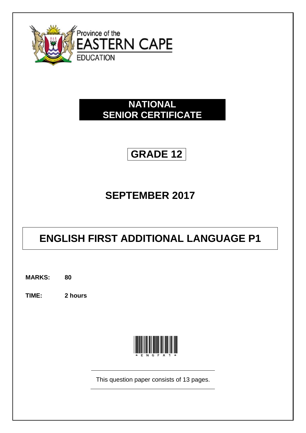

# **NATIONAL SENIOR CERTIFICATE**

# **GRADE 12**

# **SEPTEMBER 2017**

# **ENGLISH FIRST ADDITIONAL LANGUAGE P1**

**MARKS: 80**

**TIME: 2 hours**



This question paper consists of 13 pages.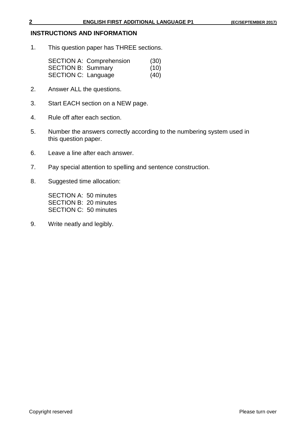# **INSTRUCTIONS AND INFORMATION**

1. This question paper has THREE sections.

|                            | <b>SECTION A: Comprehension</b> | (30) |
|----------------------------|---------------------------------|------|
| <b>SECTION B: Summary</b>  |                                 | (10) |
| <b>SECTION C: Language</b> |                                 | (40) |

- 2. Answer ALL the questions.
- 3. Start EACH section on a NEW page.
- 4. Rule off after each section.
- 5. Number the answers correctly according to the numbering system used in this question paper.
- 6. Leave a line after each answer.
- 7. Pay special attention to spelling and sentence construction.
- 8. Suggested time allocation:

SECTION A: 50 minutes SECTION B: 20 minutes SECTION C: 50 minutes

9. Write neatly and legibly.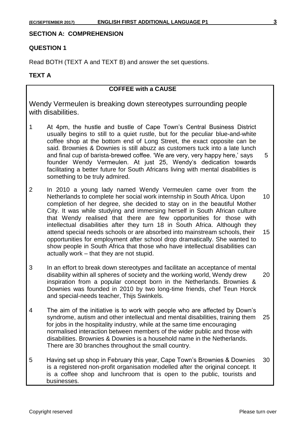### **SECTION A: COMPREHENSION**

# **QUESTION 1**

Read BOTH (TEXT A and TEXT B) and answer the set questions.

#### **TEXT A**

# **COFFEE with a CAUSE**

Wendy Vermeulen is breaking down stereotypes surrounding people with disabilities.

- 1 At 4pm, the hustle and bustle of Cape Town's Central Business District usually begins to still to a quiet rustle, but for the peculiar blue-and-white coffee shop at the bottom end of Long Street, the exact opposite can be said. Brownies & Downies is still abuzz as customers tuck into a late lunch and final cup of barista-brewed coffee. 'We are very, very happy here,' says 5 founder Wendy Vermeulen. At just 25, Wendy's dedication towards facilitating a better future for South Africans living with mental disabilities is something to be truly admired.
- 2 In 2010 a young lady named Wendy Vermeulen came over from the Netherlands to complete her social work internship in South Africa. Upon 10 completion of her degree, she decided to stay on in the beautiful Mother City. It was while studying and immersing herself in South African culture that Wendy realised that there are few opportunities for those with intellectual disabilities after they turn 18 in South Africa. Although they attend special needs schools or are absorbed into mainstream schools, their 15 opportunities for employment after school drop dramatically. She wanted to show people in South Africa that those who have intellectual disabilities can actually work – that they are not stupid.
- 3 In an effort to break down stereotypes and facilitate an acceptance of mental disability within all spheres of society and the working world, Wendy drew 20 inspiration from a popular concept born in the Netherlands. Brownies & Downies was founded in 2010 by two long-time friends, chef Teun Horck and special-needs teacher, Thijs Swinkels.
- 4 The aim of the initiative is to work with people who are affected by Down's syndrome, autism and other intellectual and mental disabilities, training them 25 for jobs in the hospitality industry, while at the same time encouraging normalised interaction between members of the wider public and those with disabilities. Brownies & Downies is a household name in the Netherlands. There are 30 branches throughout the small country.
- 5 Having set up shop in February this year, Cape Town's Brownies & Downies 30 is a registered non-profit organisation modelled after the original concept. It is a coffee shop and lunchroom that is open to the public, tourists and businesses.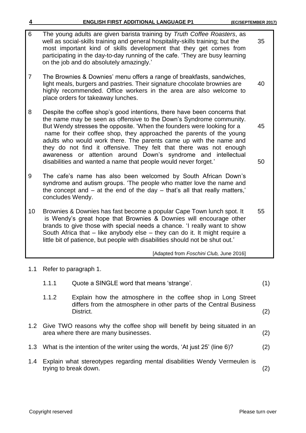- 6 The young adults are given barista training by *Truth Coffee Roasters*, as well as social-skills training and general hospitality-skills training; but the 35 most important kind of skills development that they get comes from participating in the day-to-day running of the cafe. 'They are busy learning on the job and do absolutely amazingly.' 7 The Brownies & Downies' menu offers a range of breakfasts, sandwiches, light meals, burgers and pastries. Their signature chocolate brownies are 40 highly recommended. Office workers in the area are also welcome to place orders for takeaway lunches. 8 Despite the coffee shop's good intentions, there have been concerns that the name may be seen as offensive to the Down's Syndrome community. But Wendy stresses the opposite. 'When the founders were looking for a 45 name for their coffee shop, they approached the parents of the young adults who would work there. The parents came up with the name and they do not find it offensive. They felt that there was not enough awareness or attention around Down's syndrome and intellectual disabilities and wanted a name that people would never forget.' 50 9 The cafe's name has also been welcomed by South African Down's syndrome and autism groups. 'The people who matter love the name and the concept and – at the end of the day – that's all that really matters,' concludes Wendy. 10 Brownies & Downies has fast become a popular Cape Town lunch spot. It 55 is Wendy's great hope that Brownies & Downies will encourage other brands to give those with special needs a chance. 'I really want to show South Africa that – like anybody else – they can do it. It might require a little bit of patience, but people with disabilities should not be shut out.' [Adapted from *Foschini Club,* June 2016] 1.1 Refer to paragraph 1. 1.1.1 Quote a SINGLE word that means 'strange'. (1)
	- 1.1.2 Explain how the atmosphere in the coffee shop in Long Street differs from the atmosphere in other parts of the Central Business District. (2)
- 1.2 Give TWO reasons why the coffee shop will benefit by being situated in an area where there are many businesses. (2)
- 1.3 What is the intention of the writer using the words, 'At just 25' (line 6)? (2)
- 1.4 Explain what stereotypes regarding mental disabilities Wendy Vermeulen is trying to break down. (2)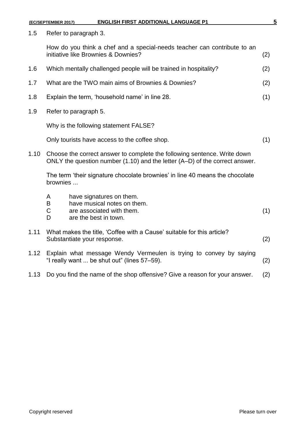|      | (EC/SEPTEMBER 2017)                                                                                                                                         | <b>ENGLISH FIRST ADDITIONAL LANGUAGE P1</b>                                                                     | 5   |  |
|------|-------------------------------------------------------------------------------------------------------------------------------------------------------------|-----------------------------------------------------------------------------------------------------------------|-----|--|
| 1.5  | Refer to paragraph 3.                                                                                                                                       |                                                                                                                 |     |  |
|      |                                                                                                                                                             | How do you think a chef and a special-needs teacher can contribute to an<br>initiative like Brownies & Downies? | (2) |  |
| 1.6  |                                                                                                                                                             | Which mentally challenged people will be trained in hospitality?                                                | (2) |  |
| 1.7  |                                                                                                                                                             | What are the TWO main aims of Brownies & Downies?                                                               | (2) |  |
| 1.8  |                                                                                                                                                             | Explain the term, 'household name' in line 28.                                                                  | (1) |  |
| 1.9  |                                                                                                                                                             | Refer to paragraph 5.                                                                                           |     |  |
|      | Why is the following statement FALSE?                                                                                                                       |                                                                                                                 |     |  |
|      | Only tourists have access to the coffee shop.                                                                                                               |                                                                                                                 | (1) |  |
| 1.10 | Choose the correct answer to complete the following sentence. Write down<br>ONLY the question number $(1.10)$ and the letter $(A-D)$ of the correct answer. |                                                                                                                 |     |  |
|      | The term 'their signature chocolate brownies' in line 40 means the chocolate<br>brownies                                                                    |                                                                                                                 |     |  |
|      | A<br>B<br>$\mathsf C$<br>D                                                                                                                                  | have signatures on them.<br>have musical notes on them.<br>are associated with them.<br>are the best in town.   | (1) |  |
| 1.11 | What makes the title, 'Coffee with a Cause' suitable for this article?<br>Substantiate your response.                                                       |                                                                                                                 | (2) |  |
| 1.12 | Explain what message Wendy Vermeulen is trying to convey by saying<br>"I really want  be shut out" (lines 57-59).                                           |                                                                                                                 | (2) |  |
| 1.13 |                                                                                                                                                             | Do you find the name of the shop offensive? Give a reason for your answer.                                      | (2) |  |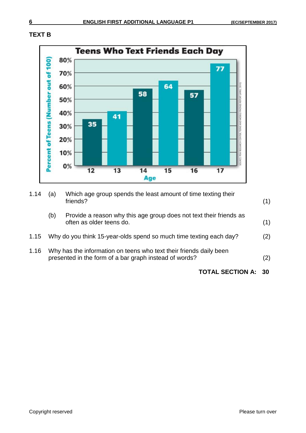



| 1.14 | (a) | Which age group spends the least amount of time texting their<br>friends?                                                    | (1) |
|------|-----|------------------------------------------------------------------------------------------------------------------------------|-----|
|      | (b) | Provide a reason why this age group does not text their friends as<br>often as older teens do.                               | (1) |
| 1.15 |     | Why do you think 15-year-olds spend so much time texting each day?                                                           | (2) |
| 1.16 |     | Why has the information on teens who text their friends daily been<br>presented in the form of a bar graph instead of words? | (2) |
|      |     | <b>TOTAL SECTION A: 30</b>                                                                                                   |     |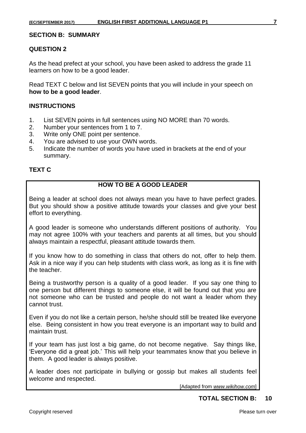#### **SECTION B: SUMMARY**

### **QUESTION 2**

As the head prefect at your school, you have been asked to address the grade 11 learners on how to be a good leader.

Read TEXT C below and list SEVEN points that you will include in your speech on **how to be a good leader**.

### **INSTRUCTIONS**

- 1. List SEVEN points in full sentences using NO MORE than 70 words.
- 2. Number your sentences from 1 to 7.
- 3. Write only ONE point per sentence.
- 4. You are advised to use your OWN words.
- 5. Indicate the number of words you have used in brackets at the end of your summary.

# **TEXT C**

# **HOW TO BE A GOOD LEADER**

Being a leader at school does not always mean you have to have perfect grades. But you should show a positive attitude towards your classes and give your best effort to everything.

A good leader is someone who understands different positions of authority. You may not agree 100% with your teachers and parents at all times, but you should always maintain a respectful, pleasant attitude towards them.

If you know how to do something in class that others do not, offer to help them. Ask in a nice way if you can help students with class work, as long as it is fine with the teacher.

Being a trustworthy person is a quality of a good leader. If you say one thing to one person but different things to someone else, it will be found out that you are not someone who can be trusted and people do not want a leader whom they cannot trust.

Even if you do not like a certain person, he/she should still be treated like everyone else. Being consistent in how you treat everyone is an important way to build and maintain trust.

If your team has just lost a big game, do not become negative. Say things like, 'Everyone did a great job.' This will help your teammates know that you believe in them. A good leader is always positive.

A leader does not participate in bullying or gossip but makes all students feel welcome and respected.

[Adapted from *www.wikihow.com*]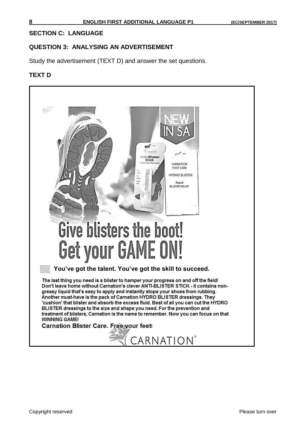### **SECTION C: LANGUAGE**

#### **QUESTION 3: ANALYSING AN ADVERTISEMENT**

Study the advertisement (TEXT D) and answer the set questions.

#### **TEXT D**

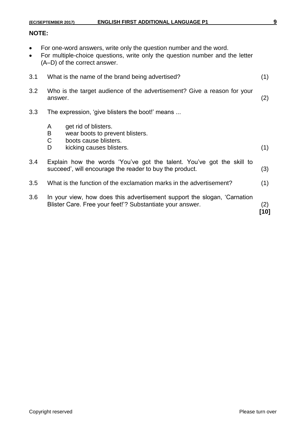# **NOTE:**

- For one-word answers, write only the question number and the word.
- For multiple-choice questions, write only the question number and the letter (A–D) of the correct answer.

| 3.1 | What is the name of the brand being advertised?                                                                                       |                                                                                                                                  | (1)         |
|-----|---------------------------------------------------------------------------------------------------------------------------------------|----------------------------------------------------------------------------------------------------------------------------------|-------------|
| 3.2 | Who is the target audience of the advertisement? Give a reason for your<br>answer.                                                    |                                                                                                                                  | (2)         |
| 3.3 | The expression, 'give blisters the boot!' means                                                                                       |                                                                                                                                  |             |
|     | A<br>B<br>C<br>D                                                                                                                      | get rid of blisters.<br>wear boots to prevent blisters.<br>boots cause blisters.<br>kicking causes blisters.                     | (1)         |
| 3.4 |                                                                                                                                       | Explain how the words 'You've got the talent. You've got the skill to<br>succeed', will encourage the reader to buy the product. | (3)         |
| 3.5 | What is the function of the exclamation marks in the advertisement?                                                                   |                                                                                                                                  | (1)         |
| 3.6 | In your view, how does this advertisement support the slogan, 'Carnation<br>Blister Care. Free your feet!'? Substantiate your answer. |                                                                                                                                  | (2)<br>[10] |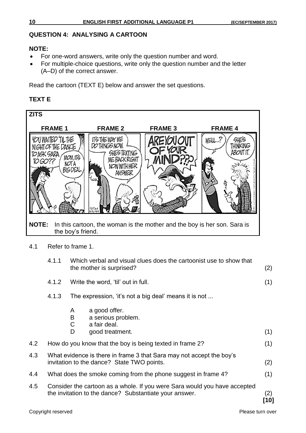# **QUESTION 4: ANALYSING A CARTOON**

# **NOTE:**

- For one-word answers, write only the question number and word.
- For multiple-choice questions, write only the question number and the letter (A–D) of the correct answer.

Read the cartoon (TEXT E) below and answer the set questions.

# **TEXT E**



4.1 Refer to frame 1.

|     | 4.1.1                                                                                                              |                                                                      | Which verbal and visual clues does the cartoonist use to show that<br>the mother is surprised?                                      | (2)         |
|-----|--------------------------------------------------------------------------------------------------------------------|----------------------------------------------------------------------|-------------------------------------------------------------------------------------------------------------------------------------|-------------|
|     | 4.1.2                                                                                                              |                                                                      | Write the word, 'til' out in full.                                                                                                  | (1)         |
|     | 4.1.3                                                                                                              |                                                                      | The expression, 'it's not a big deal' means it is not                                                                               |             |
|     |                                                                                                                    | A<br>B<br>C<br>D                                                     | a good offer.<br>a serious problem.<br>a fair deal.<br>good treatment.                                                              | (1)         |
| 4.2 |                                                                                                                    |                                                                      | How do you know that the boy is being texted in frame 2?                                                                            | (1)         |
| 4.3 | What evidence is there in frame 3 that Sara may not accept the boy's<br>invitation to the dance? State TWO points. |                                                                      |                                                                                                                                     | (2)         |
| 4.4 |                                                                                                                    | What does the smoke coming from the phone suggest in frame 4?<br>(1) |                                                                                                                                     |             |
| 4.5 |                                                                                                                    |                                                                      | Consider the cartoon as a whole. If you were Sara would you have accepted<br>the invitation to the dance? Substantiate your answer. | (2)<br>[10] |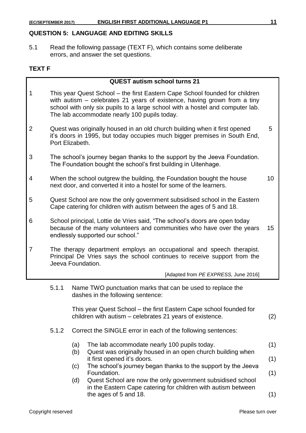# **QUESTION 5: LANGUAGE AND EDITING SKILLS**

5.1 Read the following passage (TEXT F), which contains some deliberate errors, and answer the set questions.

# **TEXT F**

|                |       | <b>QUEST autism school turns 21</b>                                                                                                                                                                                                                                                      |                 |
|----------------|-------|------------------------------------------------------------------------------------------------------------------------------------------------------------------------------------------------------------------------------------------------------------------------------------------|-----------------|
| 1              |       | This year Quest School – the first Eastern Cape School founded for children<br>with autism – celebrates 21 years of existence, having grown from a tiny<br>school with only six pupils to a large school with a hostel and computer lab.<br>The lab accommodate nearly 100 pupils today. |                 |
| $\overline{2}$ |       | Quest was originally housed in an old church building when it first opened<br>it's doors in 1995, but today occupies much bigger premises in South End,<br>Port Elizabeth.                                                                                                               | 5               |
| 3              |       | The school's journey began thanks to the support by the Jeeva Foundation.<br>The Foundation bought the school's first building in Uitenhage.                                                                                                                                             |                 |
| 4              |       | When the school outgrew the building, the Foundation bought the house<br>next door, and converted it into a hostel for some of the learners.                                                                                                                                             | 10 <sup>°</sup> |
| 5              |       | Quest School are now the only government subsidised school in the Eastern<br>Cape catering for children with autism between the ages of 5 and 18.                                                                                                                                        |                 |
| 6              |       | School principal, Lottie de Vries said, "The school's doors are open today<br>because of the many volunteers and communities who have over the years<br>endlessly supported our school."                                                                                                 | 15 <sub>1</sub> |
| 7              |       | The therapy department employs an occupational and speech therapist.<br>Principal De Vries says the school continues to receive support from the<br>Jeeva Foundation.                                                                                                                    |                 |
|                |       | [Adapted from PE EXPRESS, June 2016]                                                                                                                                                                                                                                                     |                 |
|                | 5.1.1 | Name TWO punctuation marks that can be used to replace the<br>dashes in the following sentence:                                                                                                                                                                                          |                 |
|                |       | This year Quest School - the first Eastern Cape school founded for<br>children with autism – celebrates 21 years of existence.                                                                                                                                                           | (2)             |
|                | 5.1.2 | Correct the SINGLE error in each of the following sentences:                                                                                                                                                                                                                             |                 |
|                |       | The lab accommodate nearly 100 pupils today.<br>(a)                                                                                                                                                                                                                                      | (1)             |
|                |       | (b)<br>Quest was originally housed in an open church building when<br>it first opened it's doors.                                                                                                                                                                                        | (1)             |
|                |       | The school's journey began thanks to the support by the Jeeva<br>(c)<br>Foundation.                                                                                                                                                                                                      | (1)             |
|                |       | Quest School are now the only government subsidised school<br>(d)<br>in the Eastern Cape catering for children with autism between<br>the ages of 5 and 18.                                                                                                                              | (1)             |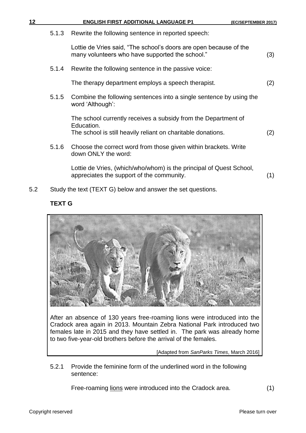| 12 |       | <b>ENGLISH FIRST ADDITIONAL LANGUAGE P1</b>                                                                                                  | (EC/SEPTEMBER 2017) |
|----|-------|----------------------------------------------------------------------------------------------------------------------------------------------|---------------------|
|    | 5.1.3 | Rewrite the following sentence in reported speech:                                                                                           |                     |
|    |       | Lottie de Vries said, "The school's doors are open because of the<br>many volunteers who have supported the school."                         | (3)                 |
|    | 5.1.4 | Rewrite the following sentence in the passive voice:                                                                                         |                     |
|    |       | The therapy department employs a speech therapist.                                                                                           | (2)                 |
|    | 5.1.5 | Combine the following sentences into a single sentence by using the<br>word 'Although':                                                      |                     |
|    |       | The school currently receives a subsidy from the Department of<br>Education.<br>The school is still heavily reliant on charitable donations. | (2)                 |
|    | 5.1.6 | Choose the correct word from those given within brackets. Write<br>down ONLY the word:                                                       |                     |
|    |       | Lottie de Vries, (which/who/whom) is the principal of Quest School,<br>appreciates the support of the community.                             | (1)                 |

5.2 Study the text (TEXT G) below and answer the set questions.

# **TEXT G**



After an absence of 130 years free-roaming lions were introduced into the Cradock area again in 2013. Mountain Zebra National Park introduced two females late in 2015 and they have settled in. The park was already home to two five-year-old brothers before the arrival of the females.

[Adapted from *SanParks Times*, March 2016]

5.2.1 Provide the feminine form of the underlined word in the following sentence:

Free-roaming lions were introduced into the Cradock area. (1)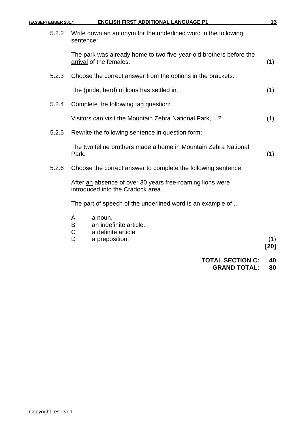| (EC/SEPTEMBER 2017) | <b>ENGLISH FIRST ADDITIONAL LANGUAGE P1</b>                                                    |               |
|---------------------|------------------------------------------------------------------------------------------------|---------------|
| 5.2.2               | Write down an antonym for the underlined word in the following<br>sentence:                    |               |
|                     | The park was already home to two five-year-old brothers before the<br>arrival of the females.  | (1)           |
| 5.2.3               | Choose the correct answer from the options in the brackets:                                    |               |
|                     | The (pride, herd) of lions has settled in.                                                     | (1)           |
| 5.2.4               | Complete the following tag question:                                                           |               |
|                     | Visitors can visit the Mountain Zebra National Park, ?                                         | (1)           |
| 5.2.5               | Rewrite the following sentence in question form:                                               |               |
|                     | The two feline brothers made a home in Mountain Zebra National<br>Park.                        | (1)           |
| 5.2.6               | Choose the correct answer to complete the following sentence:                                  |               |
|                     | After an absence of over 30 years free-roaming lions were<br>introduced into the Cradock area. |               |
|                     | The part of speech of the underlined word is an example of                                     |               |
|                     | a noun.<br>A<br>an indefinite article.<br>B<br>C<br>a definite article.<br>D<br>a preposition. | (1)<br>$[20]$ |

**TOTAL SECTION C: 40 GRAND TOTAL: 80**